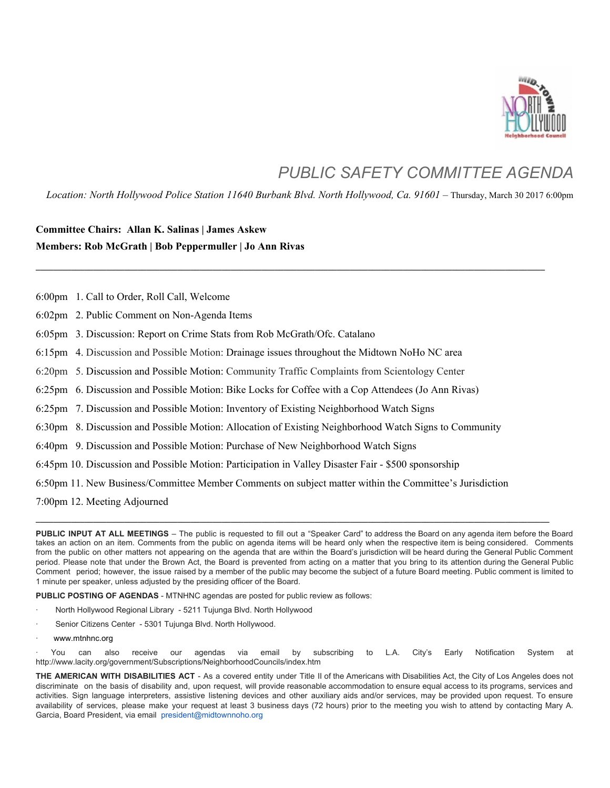

## *PUBLIC SAFETY COMMITTEE AGENDA*

*Location: North Hollywood Police Station 11640 Burbank Blvd. North Hollywood, Ca. 91601 –* Thursday, March 30 2017 6:00pm

**\_\_\_\_\_\_\_\_\_\_\_\_\_\_\_\_\_\_\_\_\_\_\_\_\_\_\_\_\_\_\_\_\_\_\_\_\_\_\_\_\_\_\_\_\_\_\_\_\_\_\_\_\_\_\_\_\_\_\_\_\_\_\_\_\_\_\_\_\_\_\_\_\_\_\_\_\_\_\_\_\_\_\_\_\_\_\_\_\_\_\_\_\_\_\_\_\_\_\_\_\_\_\_\_\_\_\_\_\_\_\_\_\_\_\_**

## **Committee Chairs: Allan K. Salinas | James Askew Members: Rob McGrath | Bob Peppermuller | Jo Ann Rivas**

6:00pm 1. Call to Order, Roll Call, Welcome

6:02pm 2. Public Comment on Non-Agenda Items

6:05pm 3. Discussion: Report on Crime Stats from Rob McGrath/Ofc. Catalano

6:15pm 4. Discussion and Possible Motion: Drainage issues throughout the Midtown NoHo NC area

6:20pm 5. Discussion and Possible Motion: Community Traffic Complaints from Scientology Center

6:25pm 6. Discussion and Possible Motion: Bike Locks for Coffee with a Cop Attendees (Jo Ann Rivas)

6:25pm 7. Discussion and Possible Motion: Inventory of Existing Neighborhood Watch Signs

6:30pm 8. Discussion and Possible Motion: Allocation of Existing Neighborhood Watch Signs to Community

6:40pm 9. Discussion and Possible Motion: Purchase of New Neighborhood Watch Signs

6:45pm 10. Discussion and Possible Motion: Participation in Valley Disaster Fair - \$500 sponsorship

6:50pm 11. New Business/Committee Member Comments on subject matter within the Committee's Jurisdiction

7:00pm 12. Meeting Adjourned

**PUBLIC INPUT AT ALL MEETINGS** – The public is requested to fill out a "Speaker Card" to address the Board on any agenda item before the Board takes an action on an item. Comments from the public on agenda items will be heard only when the respective item is being considered. Comments from the public on other matters not appearing on the agenda that are within the Board's jurisdiction will be heard during the General Public Comment period. Please note that under the Brown Act, the Board is prevented from acting on a matter that you bring to its attention during the General Public Comment period; however, the issue raised by a member of the public may become the subject of a future Board meeting. Public comment is limited to 1 minute per speaker, unless adjusted by the presiding officer of the Board.

**\_\_\_\_\_\_\_\_\_\_\_\_\_\_\_\_\_\_\_\_\_\_\_\_\_\_\_\_\_\_\_\_\_\_\_\_\_\_\_\_\_\_\_\_\_\_\_\_\_\_\_\_\_\_\_\_\_\_\_\_\_\_\_\_\_\_\_\_\_\_\_\_\_\_\_\_\_\_\_\_\_\_\_\_\_\_\_\_\_\_\_\_\_\_\_\_\_\_\_\_\_\_\_\_\_\_\_\_\_\_\_\_\_\_\_\_**

**PUBLIC POSTING OF AGENDAS** - MTNHNC agendas are posted for public review as follows:

- · North Hollywood Regional Library 5211 Tujunga Blvd. North Hollywood
- Senior Citizens Center 5301 Tujunga Blvd. North Hollywood.
- www.mtnhnc.org

· You can also receive our agendas via email by subscribing to L.A. City's Early Notification System at http://www.lacity.org/government/Subscriptions/NeighborhoodCouncils/index.htm

**THE AMERICAN WITH DISABILITIES ACT** - As a covered entity under Title II of the Americans with Disabilities Act, the City of Los Angeles does not discriminate on the basis of disability and, upon request, will provide reasonable accommodation to ensure equal access to its programs, services and activities. Sign language interpreters, assistive listening devices and other auxiliary aids and/or services, may be provided upon request. To ensure availability of services, please make your request at least 3 business days (72 hours) prior to the meeting you wish to attend by contacting Mary A. Garcia, Board President, via email president@midtownnoho.org